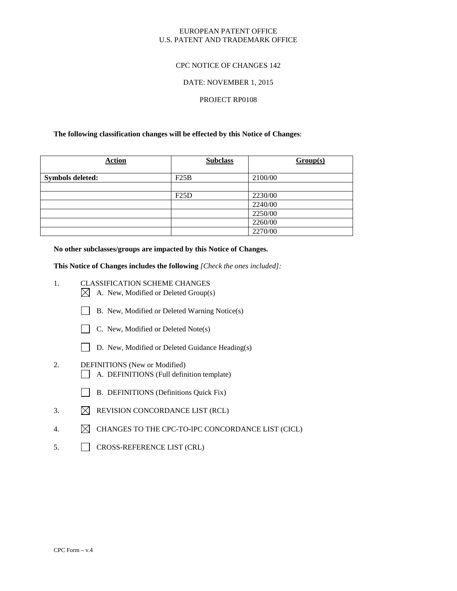## EUROPEAN PATENT OFFICE U.S. PATENT AND TRADEMARK OFFICE

## CPC NOTICE OF CHANGES 142

## DATE: NOVEMBER 1, 2015

## PROJECT RP0108

## **The following classification changes will be effected by this Notice of Changes**:

| <b>Action</b>           | <b>Subclass</b> | Group(s) |
|-------------------------|-----------------|----------|
| <b>Symbols deleted:</b> | F25B            | 2100/00  |
|                         |                 |          |
|                         | F25D            | 2230/00  |
|                         |                 | 2240/00  |
|                         |                 | 2250/00  |
|                         |                 | 2260/00  |
|                         |                 | 2270/00  |

**No other subclasses/groups are impacted by this Notice of Changes.**

**This Notice of Changes includes the following** *[Check the ones included]:*

- 1. CLASSIFICATION SCHEME CHANGES  $\boxtimes$  A. New, Modified or Deleted Group(s)
	- B. New, Modified or Deleted Warning Notice(s)



- $\Box$  C. New, Modified or Deleted Note(s)
- D. New, Modified or Deleted Guidance Heading(s)
- 2. DEFINITIONS (New or Modified)
	- A. DEFINITIONS (Full definition template)
	- B. DEFINITIONS (Definitions Quick Fix)
- 3.  $\boxtimes$  REVISION CONCORDANCE LIST (RCL)
- 4.  $\boxtimes$  CHANGES TO THE CPC-TO-IPC CONCORDANCE LIST (CICL)
- 5. CROSS-REFERENCE LIST (CRL)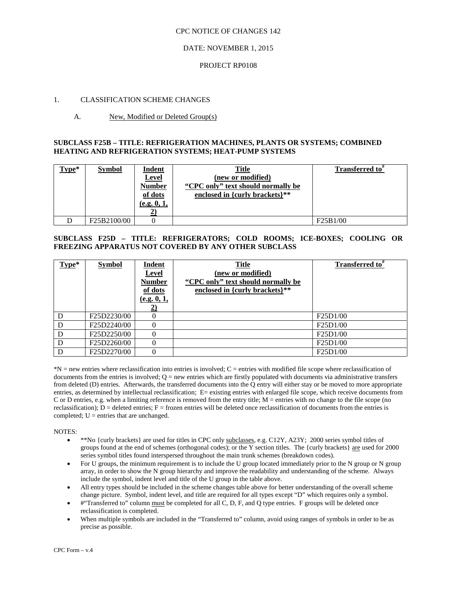## DATE: NOVEMBER 1, 2015

### PROJECT RP0108

## 1. CLASSIFICATION SCHEME CHANGES

## A. New, Modified or Deleted Group(s)

## **SUBCLASS F25B – TITLE: REFRIGERATION MACHINES, PLANTS OR SYSTEMS; COMBINED HEATING AND REFRIGERATION SYSTEMS; HEAT-PUMP SYSTEMS**

| $Type*$ | <b>Symbol</b> | <b>Indent</b><br><b>Level</b><br><b>Number</b><br>of dots<br>(e.g. 0, 1, | <u>Title</u><br>(new or modified)<br>"CPC only" text should normally be<br>enclosed in {curly brackets}** | Transferred to" |
|---------|---------------|--------------------------------------------------------------------------|-----------------------------------------------------------------------------------------------------------|-----------------|
|         | F25B2100/00   |                                                                          |                                                                                                           | F25B1/00        |

# **SUBCLASS F25D – TITLE: REFRIGERATORS; COLD ROOMS; ICE-BOXES; COOLING OR FREEZING APPARATUS NOT COVERED BY ANY OTHER SUBCLASS**

| $Type*$ | <b>Symbol</b> | Indent<br><b>Level</b><br>Number<br>of dots<br>(e.g. 0, 1, | <b>Title</b><br>(new or modified)<br>"CPC only" text should normally be<br>enclosed in {curly brackets}** | Transferred to <sup>*</sup> |
|---------|---------------|------------------------------------------------------------|-----------------------------------------------------------------------------------------------------------|-----------------------------|
| D       | F25D2230/00   | $\theta$                                                   |                                                                                                           | F25D1/00                    |
| D       | F25D2240/00   |                                                            |                                                                                                           | F25D1/00                    |
| D       | F25D2250/00   | 0                                                          |                                                                                                           | F25D1/00                    |
| D       | F25D2260/00   | 0                                                          |                                                                                                           | F25D1/00                    |
| D       | F25D2270/00   |                                                            |                                                                                                           | F25D1/00                    |

\*N = new entries where reclassification into entries is involved; C = entries with modified file scope where reclassification of documents from the entries is involved;  $Q = new$  entries which are firstly populated with documents via administrative transfers from deleted (D) entries. Afterwards, the transferred documents into the Q entry will either stay or be moved to more appropriate entries, as determined by intellectual reclassification; E= existing entries with enlarged file scope, which receive documents from C or D entries, e.g. when a limiting reference is removed from the entry title;  $M =$  entries with no change to the file scope (no reclassification);  $D =$  deleted entries;  $F =$  frozen entries will be deleted once reclassification of documents from the entries is completed;  $U =$  entries that are unchanged.

NOTES:

- \*\*No {curly brackets} are used for titles in CPC only subclasses, e.g. C12Y, A23Y; 2000 series symbol titles of groups found at the end of schemes (orthogonal codes); or the Y section titles. The {curly brackets} are used for 2000 series symbol titles found interspersed throughout the main trunk schemes (breakdown codes).
- For U groups, the minimum requirement is to include the U group located immediately prior to the N group or N group array, in order to show the N group hierarchy and improve the readability and understanding of the scheme. Always include the symbol, indent level and title of the U group in the table above.
- All entry types should be included in the scheme changes table above for better understanding of the overall scheme change picture. Symbol, indent level, and title are required for all types except "D" which requires only a symbol.
- #"Transferred to" column must be completed for all C, D, F, and Q type entries. F groups will be deleted once reclassification is completed.
- When multiple symbols are included in the "Transferred to" column, avoid using ranges of symbols in order to be as precise as possible.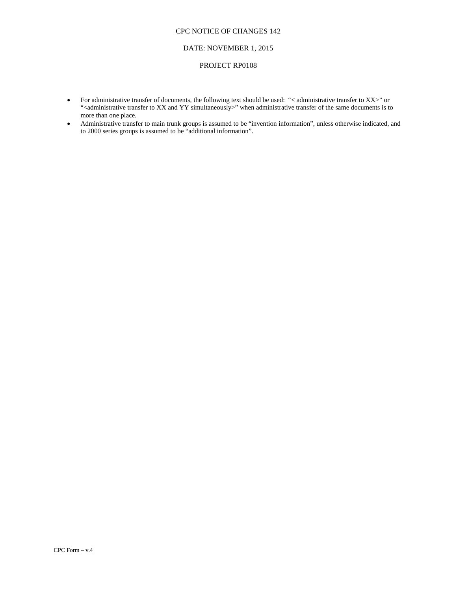#### DATE: NOVEMBER 1, 2015

#### PROJECT RP0108

- For administrative transfer of documents, the following text should be used: "< administrative transfer to XX>" or "<administrative transfer to XX and YY simultaneously>" when administrative transfer of the same documents is to more than one place.
- Administrative transfer to main trunk groups is assumed to be "invention information", unless otherwise indicated, and to 2000 series groups is assumed to be "additional information".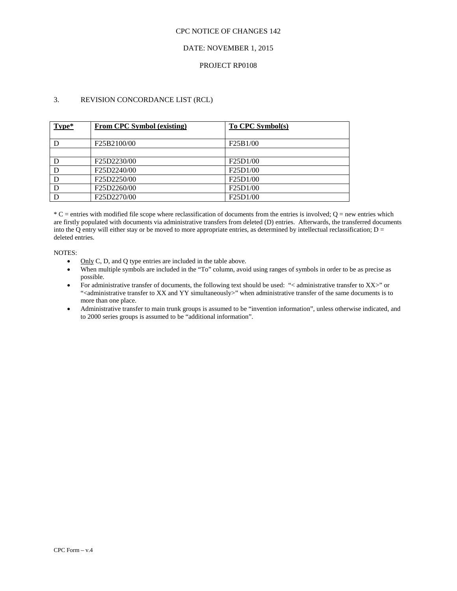## DATE: NOVEMBER 1, 2015

## PROJECT RP0108

## 3. REVISION CONCORDANCE LIST (RCL)

| Type* | <b>From CPC Symbol (existing)</b> | To CPC Symbol(s)                   |
|-------|-----------------------------------|------------------------------------|
|       | F25B2100/00                       | F25B1/00                           |
|       |                                   |                                    |
|       | F25D2230/00                       | F <sub>25</sub> D <sub>1</sub> /00 |
| D     | F25D2240/00                       | F <sub>25</sub> D <sub>1</sub> /00 |
| D     | F25D2250/00                       | F <sub>25</sub> D <sub>1</sub> /00 |
| D     | F25D2260/00                       | F25D1/00                           |
|       | F25D2270/00                       | F25D1/00                           |

 $*C$  = entries with modified file scope where reclassification of documents from the entries is involved;  $Q$  = new entries which are firstly populated with documents via administrative transfers from deleted (D) entries. Afterwards, the transferred documents into the Q entry will either stay or be moved to more appropriate entries, as determined by intellectual reclassification;  $D =$ deleted entries.

#### NOTES:

- Only C, D, and Q type entries are included in the table above.
- When multiple symbols are included in the "To" column, avoid using ranges of symbols in order to be as precise as possible.
- For administrative transfer of documents, the following text should be used: "< administrative transfer to XX>" or "<administrative transfer to XX and YY simultaneously>" when administrative transfer of the same documents is to more than one place.
- Administrative transfer to main trunk groups is assumed to be "invention information", unless otherwise indicated, and to 2000 series groups is assumed to be "additional information".